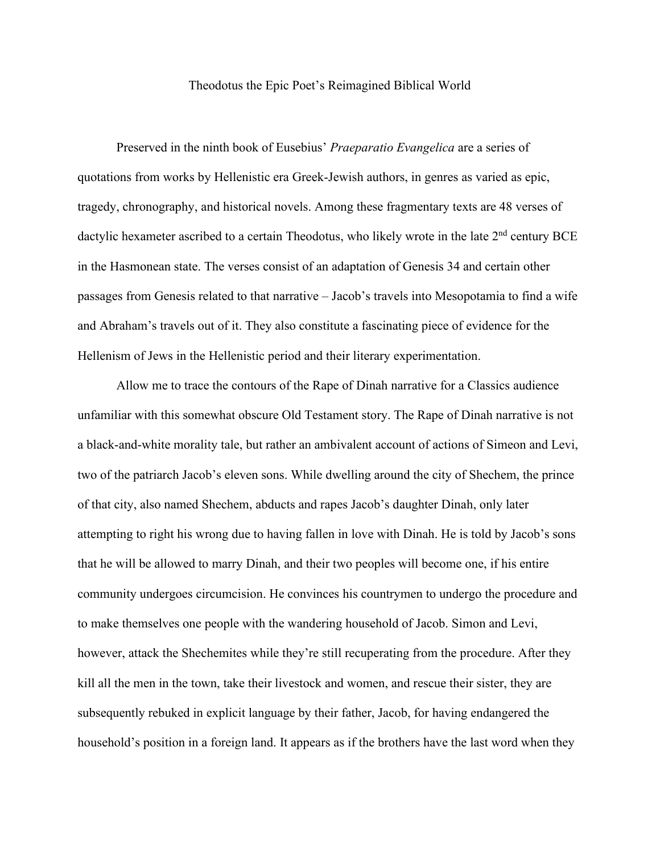## Theodotus the Epic Poet's Reimagined Biblical World

Preserved in the ninth book of Eusebius' *Praeparatio Evangelica* are a series of quotations from works by Hellenistic era Greek-Jewish authors, in genres as varied as epic, tragedy, chronography, and historical novels. Among these fragmentary texts are 48 verses of dactylic hexameter ascribed to a certain Theodotus, who likely wrote in the late  $2<sup>nd</sup>$  century BCE in the Hasmonean state. The verses consist of an adaptation of Genesis 34 and certain other passages from Genesis related to that narrative – Jacob's travels into Mesopotamia to find a wife and Abraham's travels out of it. They also constitute a fascinating piece of evidence for the Hellenism of Jews in the Hellenistic period and their literary experimentation.

Allow me to trace the contours of the Rape of Dinah narrative for a Classics audience unfamiliar with this somewhat obscure Old Testament story. The Rape of Dinah narrative is not a black-and-white morality tale, but rather an ambivalent account of actions of Simeon and Levi, two of the patriarch Jacob's eleven sons. While dwelling around the city of Shechem, the prince of that city, also named Shechem, abducts and rapes Jacob's daughter Dinah, only later attempting to right his wrong due to having fallen in love with Dinah. He is told by Jacob's sons that he will be allowed to marry Dinah, and their two peoples will become one, if his entire community undergoes circumcision. He convinces his countrymen to undergo the procedure and to make themselves one people with the wandering household of Jacob. Simon and Levi, however, attack the Shechemites while they're still recuperating from the procedure. After they kill all the men in the town, take their livestock and women, and rescue their sister, they are subsequently rebuked in explicit language by their father, Jacob, for having endangered the household's position in a foreign land. It appears as if the brothers have the last word when they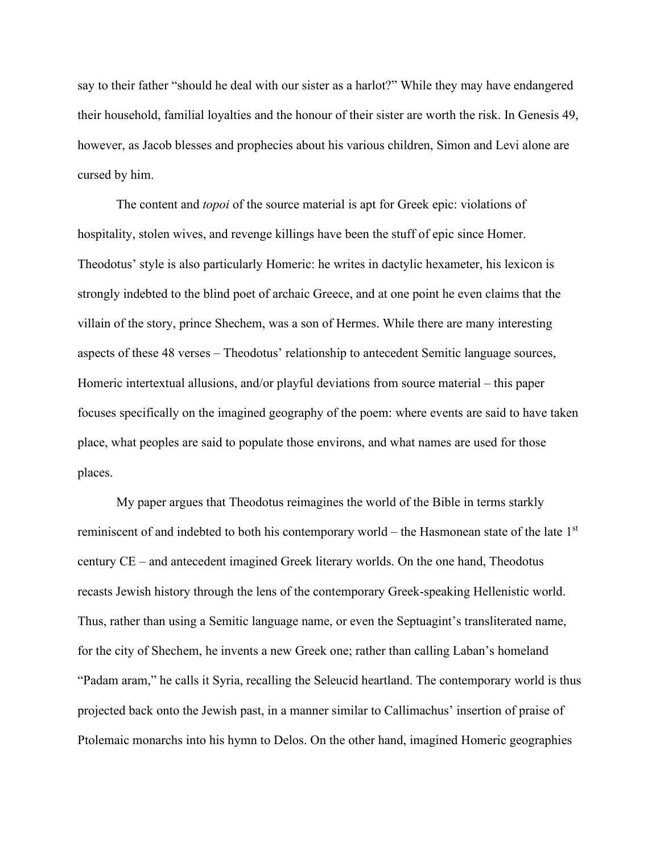say to their father "should he deal with our sister as a harlot?" While they may have endangered their household, familial loyalties and the honour of their sister are worth the risk. In Genesis 49, however, as Jacob blesses and prophecies about his various children, Simon and Levi alone are cursed by him.

The content and *topoi* of the source material is apt for Greek epic: violations of hospitality, stolen wives, and revenge killings have been the stuff of epic since Homer. Theodotus' style is also particularly Homeric: he writes in dactylic hexameter, his lexicon is strongly indebted to the blind poet of archaic Greece, and at one point he even claims that the villain of the story, prince Shechem, was a son of Hermes. While there are many interesting aspects of these 48 verses – Theodotus' relationship to antecedent Semitic language sources, Homeric intertextual allusions, and/or playful deviations from source material – this paper focuses specifically on the imagined geography of the poem: where events are said to have taken place, what peoples are said to populate those environs, and what names are used for those places.

My paper argues that Theodotus reimagines the world of the Bible in terms starkly reminiscent of and indebted to both his contemporary world – the Hasmonean state of the late 1<sup>st</sup> century CE – and antecedent imagined Greek literary worlds. On the one hand, Theodotus recasts Jewish history through the lens of the contemporary Greek-speaking Hellenistic world. Thus, rather than using a Semitic language name, or even the Septuagint's transliterated name, for the city of Shechem, he invents a new Greek one; rather than calling Laban's homeland "Padam aram," he calls it Syria, recalling the Seleucid heartland. The contemporary world is thus projected back onto the Jewish past, in a manner similar to Callimachus' insertion of praise of Ptolemaic monarchs into his hymn to Delos. On the other hand, imagined Homeric geographies